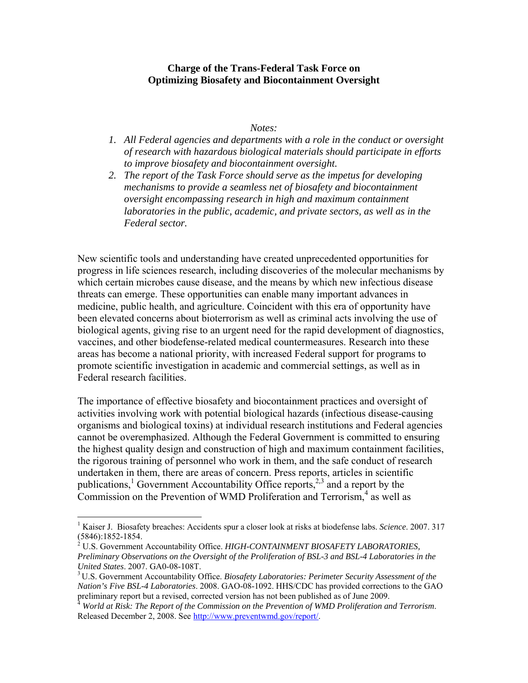#### **Charge of the Trans-Federal Task Force on Optimizing Biosafety and Biocontainment Oversight**

#### *Notes:*

- *1. All Federal agencies and departments with a role in the conduct or oversight of research with hazardous biological materials should participate in efforts to improve biosafety and biocontainment oversight.*
- *2. The report of the Task Force should serve as the impetus for developing mechanisms to provide a seamless net of biosafety and biocontainment oversight encompassing research in high and maximum containment laboratories in the public, academic, and private sectors, as well as in the Federal sector.*

New scientific tools and understanding have created unprecedented opportunities for progress in life sciences research, including discoveries of the molecular mechanisms by which certain microbes cause disease, and the means by which new infectious disease threats can emerge. These opportunities can enable many important advances in medicine, public health, and agriculture. Coincident with this era of opportunity have been elevated concerns about bioterrorism as well as criminal acts involving the use of biological agents, giving rise to an urgent need for the rapid development of diagnostics, vaccines, and other biodefense-related medical countermeasures. Research into these areas has become a national priority, with increased Federal support for programs to promote scientific investigation in academic and commercial settings, as well as in Federal research facilities.

The importance of effective biosafety and biocontainment practices and oversight of activities involving work with potential biological hazards (infectious disease-causing organisms and biological toxins) at individual research institutions and Federal agencies cannot be overemphasized. Although the Federal Government is committed to ensuring the highest quality design and construction of high and maximum containment facilities, the rigorous training of personnel who work in them, and the safe conduct of research undertaken in them, there are areas of concern. Press reports, articles in scientific publications,<sup>1</sup> Government Accountability Office reports,<sup>2,3</sup> and a report by the Commission on the Prevention of WMD Proliferation and Terrorism, $4$  as well as

 $\overline{a}$ 

<sup>&</sup>lt;sup>1</sup> Kaiser J. Biosafety breaches: Accidents spur a closer look at risks at biodefense labs. *Science*. 2007. 317 (5846):1852-1854.

<sup>2</sup> U.S. Government Accountability Office. *HIGH-CONTAINMENT BIOSAFETY LABORATORIES, Preliminary Observations on the Oversight of the Proliferation of BSL-3 and BSL-4 Laboratories in the United States.* 2007. GA0-08-108T.<br><sup>3</sup> U.S. Government Accountability Office. *Biosafety Laboratories: Perimeter Security Assessment of the* 

*Nation's Five BSL-4 Laboratories*. 2008. GAO-08-1092. HHS/CDC has provided corrections to the GAO preliminary report but a revised, corrected version has not been published as of June 2009.

<sup>4</sup>  *World at Risk: The Report of the Commission on the Prevention of WMD Proliferation and Terrorism*. Released December 2, 2008. See http://www.preventwmd.gov/report/.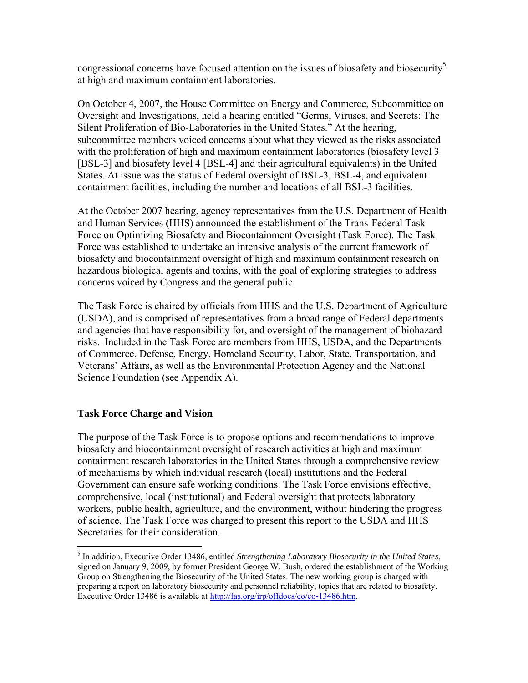congressional concerns have focused attention on the issues of biosafety and biosecurity<sup>5</sup> at high and maximum containment laboratories.

On October 4, 2007, the House Committee on Energy and Commerce, Subcommittee on Oversight and Investigations, held a hearing entitled "Germs, Viruses, and Secrets: The Silent Proliferation of Bio-Laboratories in the United States." At the hearing, subcommittee members voiced concerns about what they viewed as the risks associated with the proliferation of high and maximum containment laboratories (biosafety level 3 [BSL-3] and biosafety level 4 [BSL-4] and their agricultural equivalents) in the United States. At issue was the status of Federal oversight of BSL-3, BSL-4, and equivalent containment facilities, including the number and locations of all BSL-3 facilities.

At the October 2007 hearing, agency representatives from the U.S. Department of Health and Human Services (HHS) announced the establishment of the Trans-Federal Task Force on Optimizing Biosafety and Biocontainment Oversight (Task Force). The Task Force was established to undertake an intensive analysis of the current framework of biosafety and biocontainment oversight of high and maximum containment research on hazardous biological agents and toxins, with the goal of exploring strategies to address concerns voiced by Congress and the general public.

The Task Force is chaired by officials from HHS and the U.S. Department of Agriculture (USDA), and is comprised of representatives from a broad range of Federal departments and agencies that have responsibility for, and oversight of the management of biohazard risks. Included in the Task Force are members from HHS, USDA, and the Departments of Commerce, Defense, Energy, Homeland Security, Labor, State, Transportation, and Veterans' Affairs, as well as the Environmental Protection Agency and the National Science Foundation (see Appendix A).

# **Task Force Charge and Vision**

<u>.</u>

The purpose of the Task Force is to propose options and recommendations to improve biosafety and biocontainment oversight of research activities at high and maximum containment research laboratories in the United States through a comprehensive review of mechanisms by which individual research (local) institutions and the Federal Government can ensure safe working conditions. The Task Force envisions effective, comprehensive, local (institutional) and Federal oversight that protects laboratory workers, public health, agriculture, and the environment, without hindering the progress of science. The Task Force was charged to present this report to the USDA and HHS Secretaries for their consideration.

<sup>5</sup> In addition, Executive Order 13486, entitled *Strengthening Laboratory Biosecurity in the United States*, signed on January 9, 2009, by former President George W. Bush, ordered the establishment of the Working Group on Strengthening the Biosecurity of the United States. The new working group is charged with preparing a report on laboratory biosecurity and personnel reliability, topics that are related to biosafety. Executive Order 13486 is available at http://fas.org/irp/offdocs/eo/eo-13486.htm.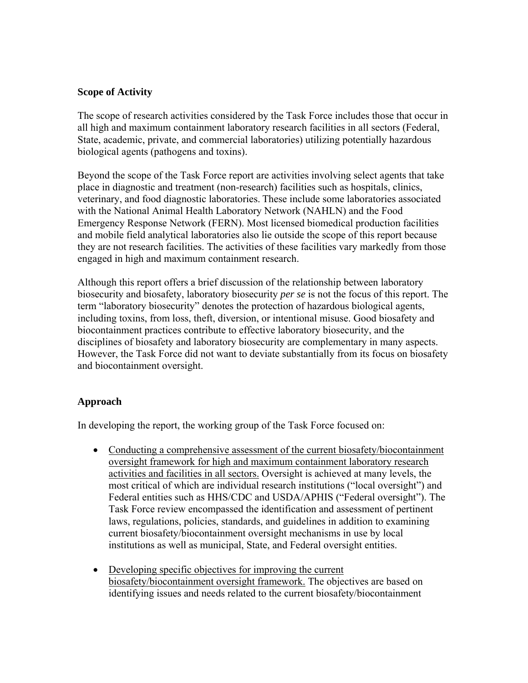### **Scope of Activity**

The scope of research activities considered by the Task Force includes those that occur in all high and maximum containment laboratory research facilities in all sectors (Federal, State, academic, private, and commercial laboratories) utilizing potentially hazardous biological agents (pathogens and toxins).

Beyond the scope of the Task Force report are activities involving select agents that take place in diagnostic and treatment (non-research) facilities such as hospitals, clinics, veterinary, and food diagnostic laboratories. These include some laboratories associated with the National Animal Health Laboratory Network (NAHLN) and the Food Emergency Response Network (FERN). Most licensed biomedical production facilities and mobile field analytical laboratories also lie outside the scope of this report because they are not research facilities. The activities of these facilities vary markedly from those engaged in high and maximum containment research.

Although this report offers a brief discussion of the relationship between laboratory biosecurity and biosafety, laboratory biosecurity *per se* is not the focus of this report. The term "laboratory biosecurity" denotes the protection of hazardous biological agents, including toxins, from loss, theft, diversion, or intentional misuse. Good biosafety and biocontainment practices contribute to effective laboratory biosecurity, and the disciplines of biosafety and laboratory biosecurity are complementary in many aspects. However, the Task Force did not want to deviate substantially from its focus on biosafety and biocontainment oversight.

# **Approach**

In developing the report, the working group of the Task Force focused on:

- Conducting a comprehensive assessment of the current biosafety/biocontainment oversight framework for high and maximum containment laboratory research activities and facilities in all sectors. Oversight is achieved at many levels, the most critical of which are individual research institutions ("local oversight") and Federal entities such as HHS/CDC and USDA/APHIS ("Federal oversight"). The Task Force review encompassed the identification and assessment of pertinent laws, regulations, policies, standards, and guidelines in addition to examining current biosafety/biocontainment oversight mechanisms in use by local institutions as well as municipal, State, and Federal oversight entities.
- Developing specific objectives for improving the current biosafety/biocontainment oversight framework. The objectives are based on identifying issues and needs related to the current biosafety/biocontainment